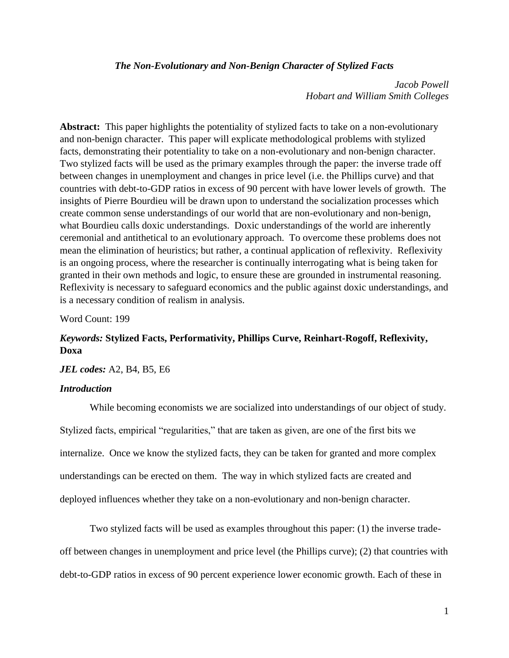## *The Non-Evolutionary and Non-Benign Character of Stylized Facts*

*Jacob Powell Hobart and William Smith Colleges*

**Abstract:** This paper highlights the potentiality of stylized facts to take on a non-evolutionary and non-benign character. This paper will explicate methodological problems with stylized facts, demonstrating their potentiality to take on a non-evolutionary and non-benign character. Two stylized facts will be used as the primary examples through the paper: the inverse trade off between changes in unemployment and changes in price level (i.e. the Phillips curve) and that countries with debt-to-GDP ratios in excess of 90 percent with have lower levels of growth. The insights of Pierre Bourdieu will be drawn upon to understand the socialization processes which create common sense understandings of our world that are non-evolutionary and non-benign, what Bourdieu calls doxic understandings. Doxic understandings of the world are inherently ceremonial and antithetical to an evolutionary approach. To overcome these problems does not mean the elimination of heuristics; but rather, a continual application of reflexivity. Reflexivity is an ongoing process, where the researcher is continually interrogating what is being taken for granted in their own methods and logic, to ensure these are grounded in instrumental reasoning. Reflexivity is necessary to safeguard economics and the public against doxic understandings, and is a necessary condition of realism in analysis.

Word Count: 199

# *Keywords:* **Stylized Facts, Performativity, Phillips Curve, Reinhart-Rogoff, Reflexivity, Doxa**

*JEL codes:* A2, B4, B5, E6

# *Introduction*

While becoming economists we are socialized into understandings of our object of study. Stylized facts, empirical "regularities," that are taken as given, are one of the first bits we internalize. Once we know the stylized facts, they can be taken for granted and more complex understandings can be erected on them. The way in which stylized facts are created and deployed influences whether they take on a non-evolutionary and non-benign character.

Two stylized facts will be used as examples throughout this paper: (1) the inverse tradeoff between changes in unemployment and price level (the Phillips curve); (2) that countries with debt-to-GDP ratios in excess of 90 percent experience lower economic growth. Each of these in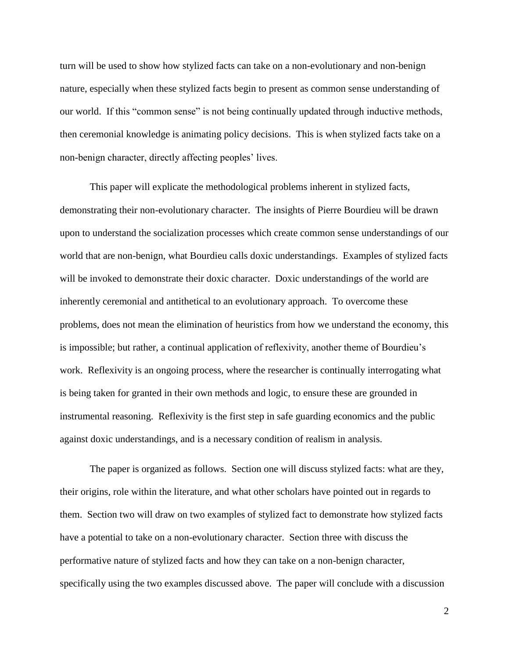turn will be used to show how stylized facts can take on a non-evolutionary and non-benign nature, especially when these stylized facts begin to present as common sense understanding of our world. If this "common sense" is not being continually updated through inductive methods, then ceremonial knowledge is animating policy decisions. This is when stylized facts take on a non-benign character, directly affecting peoples' lives.

This paper will explicate the methodological problems inherent in stylized facts, demonstrating their non-evolutionary character. The insights of Pierre Bourdieu will be drawn upon to understand the socialization processes which create common sense understandings of our world that are non-benign, what Bourdieu calls doxic understandings. Examples of stylized facts will be invoked to demonstrate their doxic character. Doxic understandings of the world are inherently ceremonial and antithetical to an evolutionary approach. To overcome these problems, does not mean the elimination of heuristics from how we understand the economy, this is impossible; but rather, a continual application of reflexivity, another theme of Bourdieu's work. Reflexivity is an ongoing process, where the researcher is continually interrogating what is being taken for granted in their own methods and logic, to ensure these are grounded in instrumental reasoning. Reflexivity is the first step in safe guarding economics and the public against doxic understandings, and is a necessary condition of realism in analysis.

The paper is organized as follows. Section one will discuss stylized facts: what are they, their origins, role within the literature, and what other scholars have pointed out in regards to them. Section two will draw on two examples of stylized fact to demonstrate how stylized facts have a potential to take on a non-evolutionary character. Section three with discuss the performative nature of stylized facts and how they can take on a non-benign character, specifically using the two examples discussed above. The paper will conclude with a discussion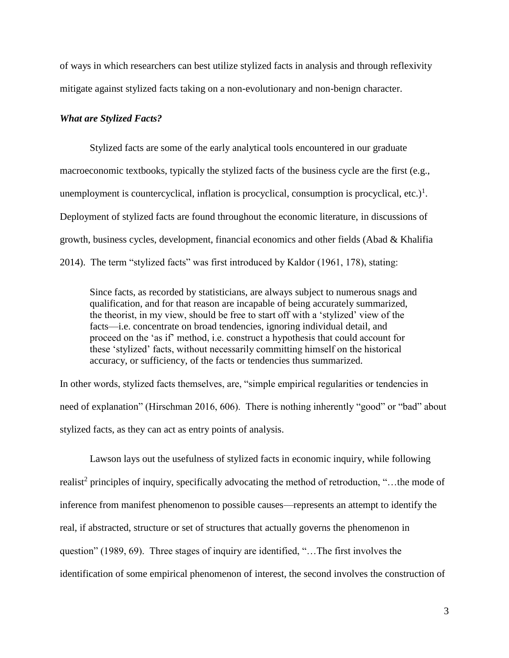of ways in which researchers can best utilize stylized facts in analysis and through reflexivity mitigate against stylized facts taking on a non-evolutionary and non-benign character.

#### *What are Stylized Facts?*

Stylized facts are some of the early analytical tools encountered in our graduate macroeconomic textbooks, typically the stylized facts of the business cycle are the first (e.g., unemployment is countercyclical, inflation is procyclical, consumption is procyclical, etc.)<sup>1</sup>. Deployment of stylized facts are found throughout the economic literature, in discussions of growth, business cycles, development, financial economics and other fields (Abad & Khalifia 2014). The term "stylized facts" was first introduced by Kaldor (1961, 178), stating:

Since facts, as recorded by statisticians, are always subject to numerous snags and qualification, and for that reason are incapable of being accurately summarized, the theorist, in my view, should be free to start off with a 'stylized' view of the facts—i.e. concentrate on broad tendencies, ignoring individual detail, and proceed on the 'as if' method, i.e. construct a hypothesis that could account for these 'stylized' facts, without necessarily committing himself on the historical accuracy, or sufficiency, of the facts or tendencies thus summarized.

In other words, stylized facts themselves, are, "simple empirical regularities or tendencies in need of explanation" (Hirschman 2016, 606). There is nothing inherently "good" or "bad" about stylized facts, as they can act as entry points of analysis.

Lawson lays out the usefulness of stylized facts in economic inquiry, while following realist<sup>2</sup> principles of inquiry, specifically advocating the method of retroduction, "...the mode of inference from manifest phenomenon to possible causes—represents an attempt to identify the real, if abstracted, structure or set of structures that actually governs the phenomenon in question" (1989, 69). Three stages of inquiry are identified, "…The first involves the identification of some empirical phenomenon of interest, the second involves the construction of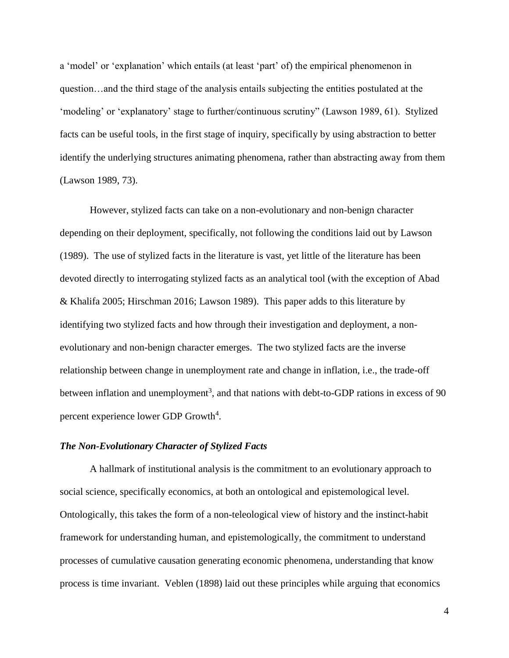a 'model' or 'explanation' which entails (at least 'part' of) the empirical phenomenon in question…and the third stage of the analysis entails subjecting the entities postulated at the 'modeling' or 'explanatory' stage to further/continuous scrutiny" (Lawson 1989, 61). Stylized facts can be useful tools, in the first stage of inquiry, specifically by using abstraction to better identify the underlying structures animating phenomena, rather than abstracting away from them (Lawson 1989, 73).

However, stylized facts can take on a non-evolutionary and non-benign character depending on their deployment, specifically, not following the conditions laid out by Lawson (1989). The use of stylized facts in the literature is vast, yet little of the literature has been devoted directly to interrogating stylized facts as an analytical tool (with the exception of Abad & Khalifa 2005; Hirschman 2016; Lawson 1989). This paper adds to this literature by identifying two stylized facts and how through their investigation and deployment, a nonevolutionary and non-benign character emerges. The two stylized facts are the inverse relationship between change in unemployment rate and change in inflation, i.e., the trade-off between inflation and unemployment<sup>3</sup>, and that nations with debt-to-GDP rations in excess of 90 percent experience lower GDP Growth<sup>4</sup>.

#### *The Non-Evolutionary Character of Stylized Facts*

A hallmark of institutional analysis is the commitment to an evolutionary approach to social science, specifically economics, at both an ontological and epistemological level. Ontologically, this takes the form of a non-teleological view of history and the instinct-habit framework for understanding human, and epistemologically, the commitment to understand processes of cumulative causation generating economic phenomena, understanding that know process is time invariant. Veblen (1898) laid out these principles while arguing that economics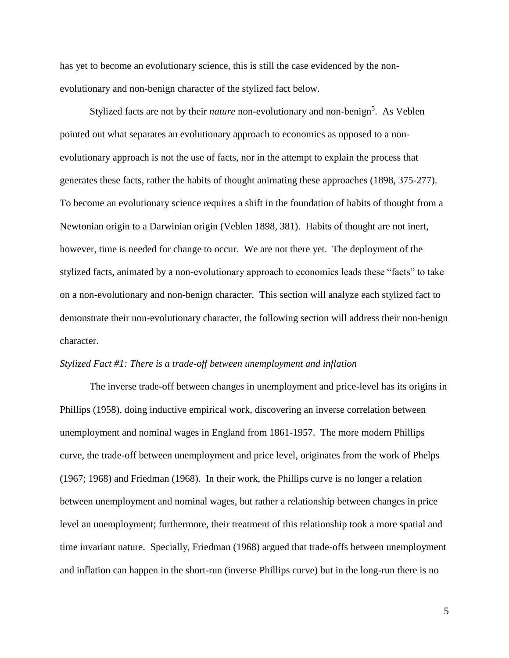has yet to become an evolutionary science, this is still the case evidenced by the nonevolutionary and non-benign character of the stylized fact below.

Stylized facts are not by their *nature* non-evolutionary and non-benign<sup>5</sup>. As Veblen pointed out what separates an evolutionary approach to economics as opposed to a nonevolutionary approach is not the use of facts, nor in the attempt to explain the process that generates these facts, rather the habits of thought animating these approaches (1898, 375-277). To become an evolutionary science requires a shift in the foundation of habits of thought from a Newtonian origin to a Darwinian origin (Veblen 1898, 381). Habits of thought are not inert, however, time is needed for change to occur. We are not there yet. The deployment of the stylized facts, animated by a non-evolutionary approach to economics leads these "facts" to take on a non-evolutionary and non-benign character. This section will analyze each stylized fact to demonstrate their non-evolutionary character, the following section will address their non-benign character.

#### *Stylized Fact #1: There is a trade-off between unemployment and inflation*

The inverse trade-off between changes in unemployment and price-level has its origins in Phillips (1958), doing inductive empirical work, discovering an inverse correlation between unemployment and nominal wages in England from 1861-1957. The more modern Phillips curve, the trade-off between unemployment and price level, originates from the work of Phelps (1967; 1968) and Friedman (1968). In their work, the Phillips curve is no longer a relation between unemployment and nominal wages, but rather a relationship between changes in price level an unemployment; furthermore, their treatment of this relationship took a more spatial and time invariant nature. Specially, Friedman (1968) argued that trade-offs between unemployment and inflation can happen in the short-run (inverse Phillips curve) but in the long-run there is no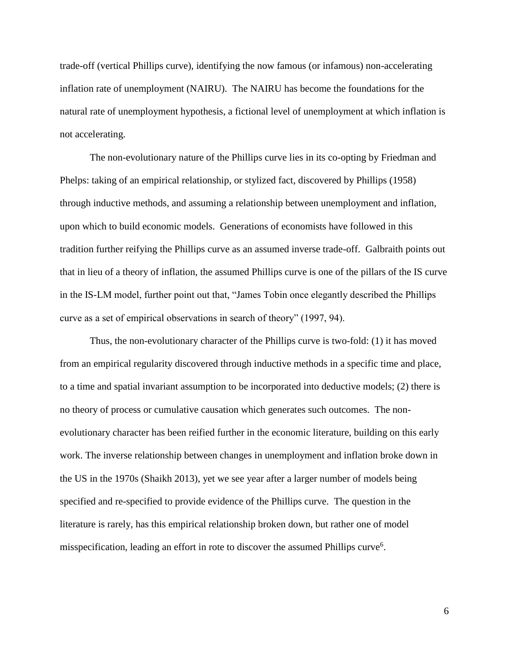trade-off (vertical Phillips curve), identifying the now famous (or infamous) non-accelerating inflation rate of unemployment (NAIRU). The NAIRU has become the foundations for the natural rate of unemployment hypothesis, a fictional level of unemployment at which inflation is not accelerating.

The non-evolutionary nature of the Phillips curve lies in its co-opting by Friedman and Phelps: taking of an empirical relationship, or stylized fact, discovered by Phillips (1958) through inductive methods, and assuming a relationship between unemployment and inflation, upon which to build economic models. Generations of economists have followed in this tradition further reifying the Phillips curve as an assumed inverse trade-off. Galbraith points out that in lieu of a theory of inflation, the assumed Phillips curve is one of the pillars of the IS curve in the IS-LM model, further point out that, "James Tobin once elegantly described the Phillips curve as a set of empirical observations in search of theory" (1997, 94).

Thus, the non-evolutionary character of the Phillips curve is two-fold: (1) it has moved from an empirical regularity discovered through inductive methods in a specific time and place, to a time and spatial invariant assumption to be incorporated into deductive models; (2) there is no theory of process or cumulative causation which generates such outcomes. The nonevolutionary character has been reified further in the economic literature, building on this early work. The inverse relationship between changes in unemployment and inflation broke down in the US in the 1970s (Shaikh 2013), yet we see year after a larger number of models being specified and re-specified to provide evidence of the Phillips curve. The question in the literature is rarely, has this empirical relationship broken down, but rather one of model misspecification, leading an effort in rote to discover the assumed Phillips curve<sup>6</sup>.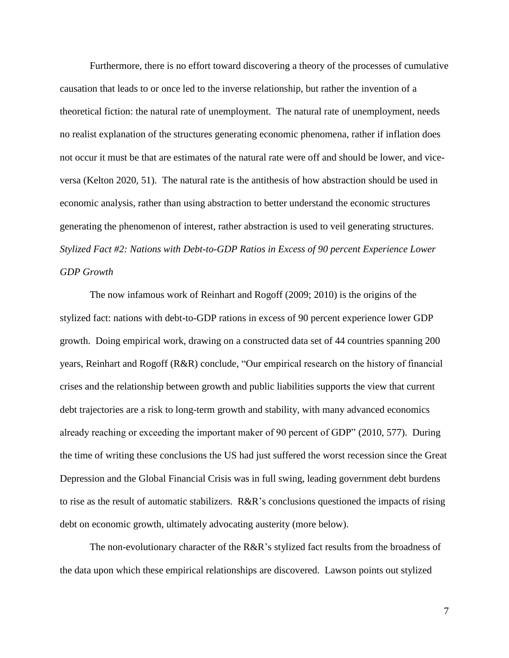Furthermore, there is no effort toward discovering a theory of the processes of cumulative causation that leads to or once led to the inverse relationship, but rather the invention of a theoretical fiction: the natural rate of unemployment. The natural rate of unemployment, needs no realist explanation of the structures generating economic phenomena, rather if inflation does not occur it must be that are estimates of the natural rate were off and should be lower, and viceversa (Kelton 2020, 51). The natural rate is the antithesis of how abstraction should be used in economic analysis, rather than using abstraction to better understand the economic structures generating the phenomenon of interest, rather abstraction is used to veil generating structures. *Stylized Fact #2: Nations with Debt-to-GDP Ratios in Excess of 90 percent Experience Lower GDP Growth*

The now infamous work of Reinhart and Rogoff (2009; 2010) is the origins of the stylized fact: nations with debt-to-GDP rations in excess of 90 percent experience lower GDP growth. Doing empirical work, drawing on a constructed data set of 44 countries spanning 200 years, Reinhart and Rogoff (R&R) conclude, "Our empirical research on the history of financial crises and the relationship between growth and public liabilities supports the view that current debt trajectories are a risk to long-term growth and stability, with many advanced economics already reaching or exceeding the important maker of 90 percent of GDP" (2010, 577). During the time of writing these conclusions the US had just suffered the worst recession since the Great Depression and the Global Financial Crisis was in full swing, leading government debt burdens to rise as the result of automatic stabilizers. R&R's conclusions questioned the impacts of rising debt on economic growth, ultimately advocating austerity (more below).

The non-evolutionary character of the  $R\&R$ 's stylized fact results from the broadness of the data upon which these empirical relationships are discovered. Lawson points out stylized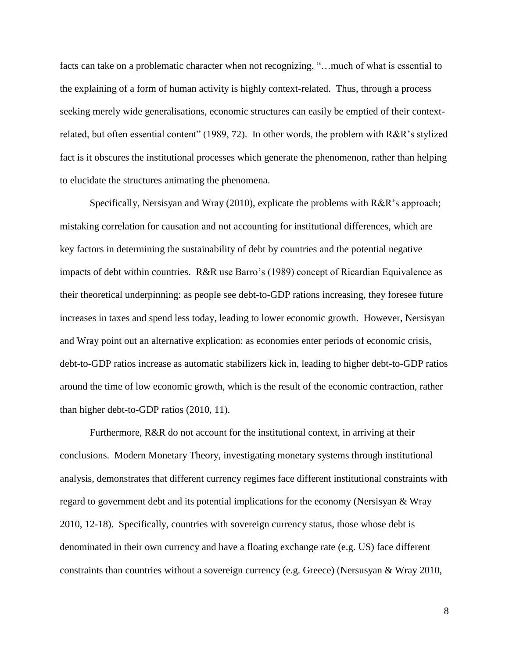facts can take on a problematic character when not recognizing, "…much of what is essential to the explaining of a form of human activity is highly context-related. Thus, through a process seeking merely wide generalisations, economic structures can easily be emptied of their contextrelated, but often essential content" (1989, 72). In other words, the problem with R&R's stylized fact is it obscures the institutional processes which generate the phenomenon, rather than helping to elucidate the structures animating the phenomena.

Specifically, Nersisyan and Wray (2010), explicate the problems with R&R's approach; mistaking correlation for causation and not accounting for institutional differences, which are key factors in determining the sustainability of debt by countries and the potential negative impacts of debt within countries. R&R use Barro's (1989) concept of Ricardian Equivalence as their theoretical underpinning: as people see debt-to-GDP rations increasing, they foresee future increases in taxes and spend less today, leading to lower economic growth. However, Nersisyan and Wray point out an alternative explication: as economies enter periods of economic crisis, debt-to-GDP ratios increase as automatic stabilizers kick in, leading to higher debt-to-GDP ratios around the time of low economic growth, which is the result of the economic contraction, rather than higher debt-to-GDP ratios (2010, 11).

Furthermore, R&R do not account for the institutional context, in arriving at their conclusions. Modern Monetary Theory, investigating monetary systems through institutional analysis, demonstrates that different currency regimes face different institutional constraints with regard to government debt and its potential implications for the economy (Nersisyan & Wray 2010, 12-18). Specifically, countries with sovereign currency status, those whose debt is denominated in their own currency and have a floating exchange rate (e.g. US) face different constraints than countries without a sovereign currency (e.g. Greece) (Nersusyan & Wray 2010,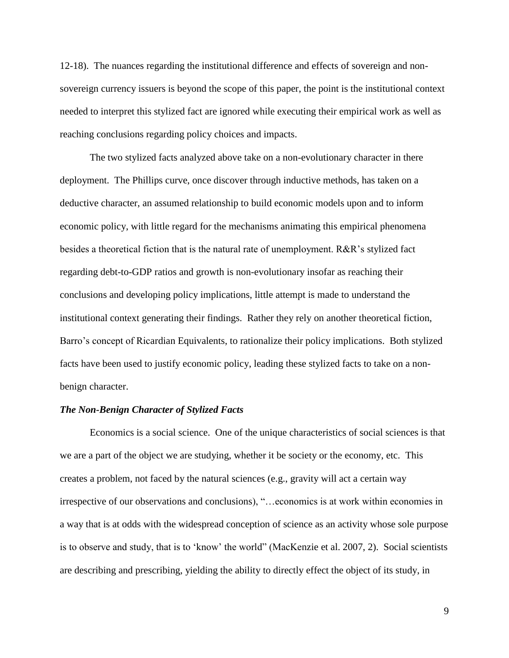12-18). The nuances regarding the institutional difference and effects of sovereign and nonsovereign currency issuers is beyond the scope of this paper, the point is the institutional context needed to interpret this stylized fact are ignored while executing their empirical work as well as reaching conclusions regarding policy choices and impacts.

The two stylized facts analyzed above take on a non-evolutionary character in there deployment. The Phillips curve, once discover through inductive methods, has taken on a deductive character, an assumed relationship to build economic models upon and to inform economic policy, with little regard for the mechanisms animating this empirical phenomena besides a theoretical fiction that is the natural rate of unemployment. R&R's stylized fact regarding debt-to-GDP ratios and growth is non-evolutionary insofar as reaching their conclusions and developing policy implications, little attempt is made to understand the institutional context generating their findings. Rather they rely on another theoretical fiction, Barro's concept of Ricardian Equivalents, to rationalize their policy implications. Both stylized facts have been used to justify economic policy, leading these stylized facts to take on a nonbenign character.

# *The Non-Benign Character of Stylized Facts*

Economics is a social science. One of the unique characteristics of social sciences is that we are a part of the object we are studying, whether it be society or the economy, etc. This creates a problem, not faced by the natural sciences (e.g., gravity will act a certain way irrespective of our observations and conclusions), "…economics is at work within economies in a way that is at odds with the widespread conception of science as an activity whose sole purpose is to observe and study, that is to 'know' the world" (MacKenzie et al. 2007, 2). Social scientists are describing and prescribing, yielding the ability to directly effect the object of its study, in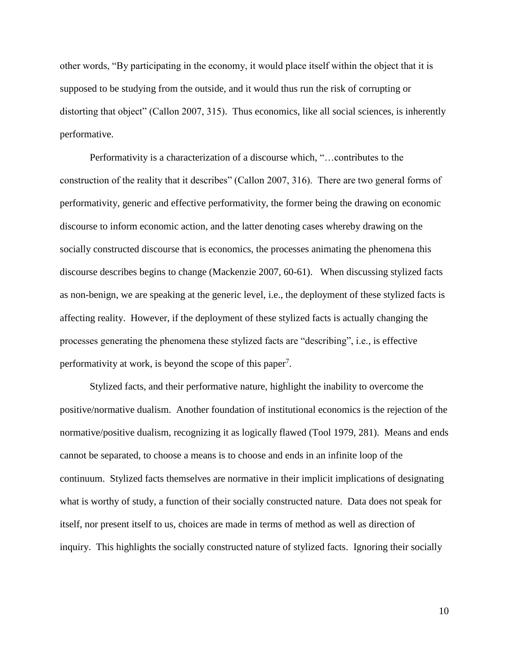other words, "By participating in the economy, it would place itself within the object that it is supposed to be studying from the outside, and it would thus run the risk of corrupting or distorting that object" (Callon 2007, 315). Thus economics, like all social sciences, is inherently performative.

Performativity is a characterization of a discourse which, "…contributes to the construction of the reality that it describes" (Callon 2007, 316). There are two general forms of performativity, generic and effective performativity, the former being the drawing on economic discourse to inform economic action, and the latter denoting cases whereby drawing on the socially constructed discourse that is economics, the processes animating the phenomena this discourse describes begins to change (Mackenzie 2007, 60-61). When discussing stylized facts as non-benign, we are speaking at the generic level, i.e., the deployment of these stylized facts is affecting reality. However, if the deployment of these stylized facts is actually changing the processes generating the phenomena these stylized facts are "describing", i.e., is effective performativity at work, is beyond the scope of this paper<sup>7</sup>.

Stylized facts, and their performative nature, highlight the inability to overcome the positive/normative dualism. Another foundation of institutional economics is the rejection of the normative/positive dualism, recognizing it as logically flawed (Tool 1979, 281). Means and ends cannot be separated, to choose a means is to choose and ends in an infinite loop of the continuum. Stylized facts themselves are normative in their implicit implications of designating what is worthy of study, a function of their socially constructed nature. Data does not speak for itself, nor present itself to us, choices are made in terms of method as well as direction of inquiry. This highlights the socially constructed nature of stylized facts. Ignoring their socially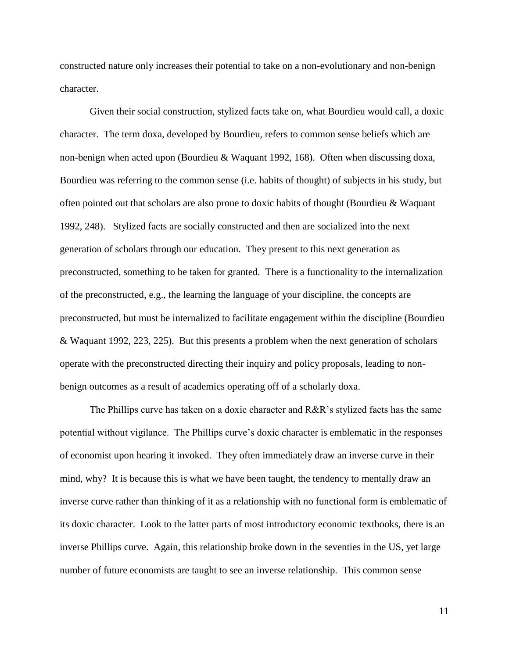constructed nature only increases their potential to take on a non-evolutionary and non-benign character.

Given their social construction, stylized facts take on, what Bourdieu would call, a doxic character. The term doxa, developed by Bourdieu, refers to common sense beliefs which are non-benign when acted upon (Bourdieu & Waquant 1992, 168). Often when discussing doxa, Bourdieu was referring to the common sense (i.e. habits of thought) of subjects in his study, but often pointed out that scholars are also prone to doxic habits of thought (Bourdieu & Waquant 1992, 248). Stylized facts are socially constructed and then are socialized into the next generation of scholars through our education. They present to this next generation as preconstructed, something to be taken for granted. There is a functionality to the internalization of the preconstructed, e.g., the learning the language of your discipline, the concepts are preconstructed, but must be internalized to facilitate engagement within the discipline (Bourdieu & Waquant 1992, 223, 225). But this presents a problem when the next generation of scholars operate with the preconstructed directing their inquiry and policy proposals, leading to nonbenign outcomes as a result of academics operating off of a scholarly doxa.

The Phillips curve has taken on a doxic character and R&R's stylized facts has the same potential without vigilance. The Phillips curve's doxic character is emblematic in the responses of economist upon hearing it invoked. They often immediately draw an inverse curve in their mind, why? It is because this is what we have been taught, the tendency to mentally draw an inverse curve rather than thinking of it as a relationship with no functional form is emblematic of its doxic character. Look to the latter parts of most introductory economic textbooks, there is an inverse Phillips curve. Again, this relationship broke down in the seventies in the US, yet large number of future economists are taught to see an inverse relationship. This common sense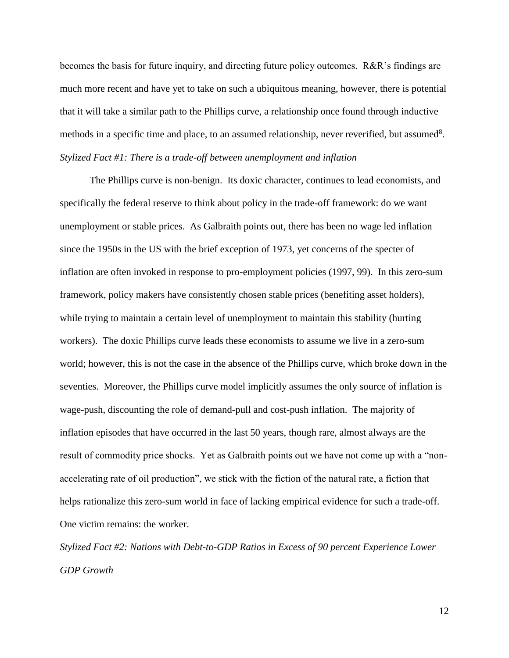becomes the basis for future inquiry, and directing future policy outcomes. R&R's findings are much more recent and have yet to take on such a ubiquitous meaning, however, there is potential that it will take a similar path to the Phillips curve, a relationship once found through inductive methods in a specific time and place, to an assumed relationship, never reverified, but assumed<sup>8</sup>. *Stylized Fact #1: There is a trade-off between unemployment and inflation*

The Phillips curve is non-benign. Its doxic character, continues to lead economists, and specifically the federal reserve to think about policy in the trade-off framework: do we want unemployment or stable prices. As Galbraith points out, there has been no wage led inflation since the 1950s in the US with the brief exception of 1973, yet concerns of the specter of inflation are often invoked in response to pro-employment policies (1997, 99). In this zero-sum framework, policy makers have consistently chosen stable prices (benefiting asset holders), while trying to maintain a certain level of unemployment to maintain this stability (hurting workers). The doxic Phillips curve leads these economists to assume we live in a zero-sum world; however, this is not the case in the absence of the Phillips curve, which broke down in the seventies. Moreover, the Phillips curve model implicitly assumes the only source of inflation is wage-push, discounting the role of demand-pull and cost-push inflation. The majority of inflation episodes that have occurred in the last 50 years, though rare, almost always are the result of commodity price shocks. Yet as Galbraith points out we have not come up with a "nonaccelerating rate of oil production", we stick with the fiction of the natural rate, a fiction that helps rationalize this zero-sum world in face of lacking empirical evidence for such a trade-off. One victim remains: the worker.

*Stylized Fact #2: Nations with Debt-to-GDP Ratios in Excess of 90 percent Experience Lower GDP Growth*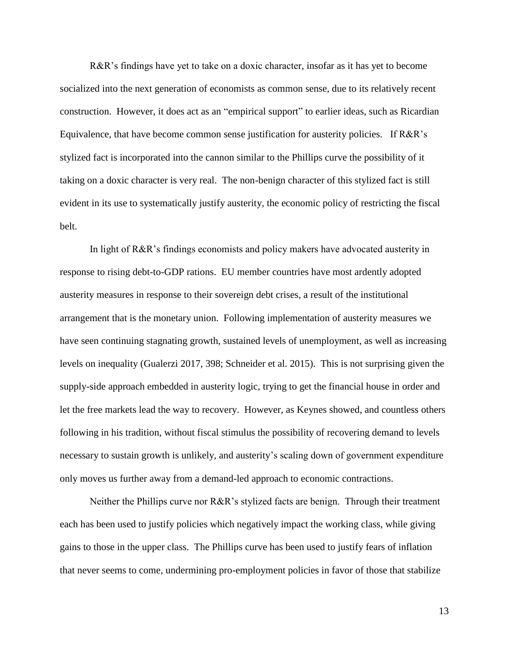R&R's findings have yet to take on a doxic character, insofar as it has yet to become socialized into the next generation of economists as common sense, due to its relatively recent construction. However, it does act as an "empirical support" to earlier ideas, such as Ricardian Equivalence, that have become common sense justification for austerity policies. If R&R's stylized fact is incorporated into the cannon similar to the Phillips curve the possibility of it taking on a doxic character is very real. The non-benign character of this stylized fact is still evident in its use to systematically justify austerity, the economic policy of restricting the fiscal belt.

In light of R&R's findings economists and policy makers have advocated austerity in response to rising debt-to-GDP rations. EU member countries have most ardently adopted austerity measures in response to their sovereign debt crises, a result of the institutional arrangement that is the monetary union. Following implementation of austerity measures we have seen continuing stagnating growth, sustained levels of unemployment, as well as increasing levels on inequality (Gualerzi 2017, 398; Schneider et al. 2015). This is not surprising given the supply-side approach embedded in austerity logic, trying to get the financial house in order and let the free markets lead the way to recovery. However, as Keynes showed, and countless others following in his tradition, without fiscal stimulus the possibility of recovering demand to levels necessary to sustain growth is unlikely, and austerity's scaling down of government expenditure only moves us further away from a demand-led approach to economic contractions.

Neither the Phillips curve nor R&R's stylized facts are benign. Through their treatment each has been used to justify policies which negatively impact the working class, while giving gains to those in the upper class. The Phillips curve has been used to justify fears of inflation that never seems to come, undermining pro-employment policies in favor of those that stabilize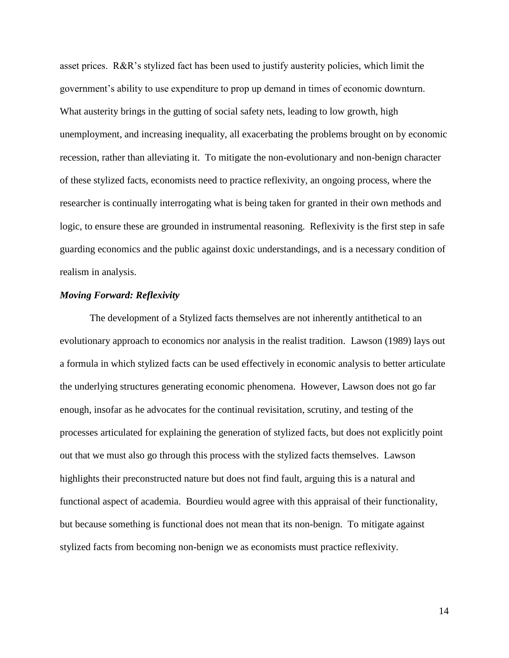asset prices. R&R's stylized fact has been used to justify austerity policies, which limit the government's ability to use expenditure to prop up demand in times of economic downturn. What austerity brings in the gutting of social safety nets, leading to low growth, high unemployment, and increasing inequality, all exacerbating the problems brought on by economic recession, rather than alleviating it. To mitigate the non-evolutionary and non-benign character of these stylized facts, economists need to practice reflexivity, an ongoing process, where the researcher is continually interrogating what is being taken for granted in their own methods and logic, to ensure these are grounded in instrumental reasoning. Reflexivity is the first step in safe guarding economics and the public against doxic understandings, and is a necessary condition of realism in analysis.

## *Moving Forward: Reflexivity*

The development of a Stylized facts themselves are not inherently antithetical to an evolutionary approach to economics nor analysis in the realist tradition. Lawson (1989) lays out a formula in which stylized facts can be used effectively in economic analysis to better articulate the underlying structures generating economic phenomena. However, Lawson does not go far enough, insofar as he advocates for the continual revisitation, scrutiny, and testing of the processes articulated for explaining the generation of stylized facts, but does not explicitly point out that we must also go through this process with the stylized facts themselves. Lawson highlights their preconstructed nature but does not find fault, arguing this is a natural and functional aspect of academia. Bourdieu would agree with this appraisal of their functionality, but because something is functional does not mean that its non-benign. To mitigate against stylized facts from becoming non-benign we as economists must practice reflexivity.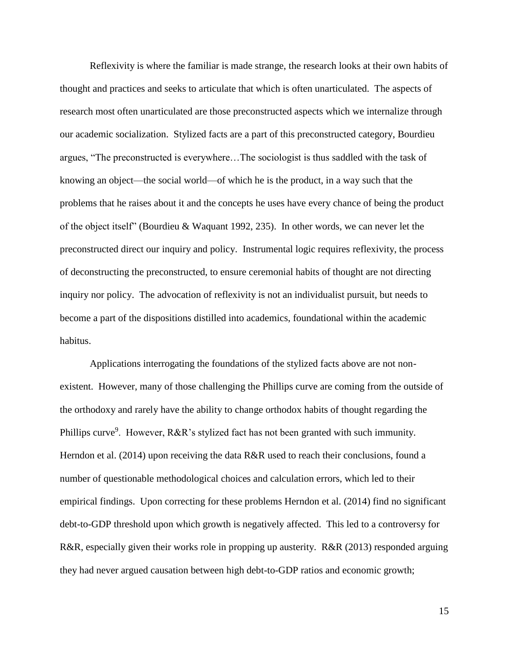Reflexivity is where the familiar is made strange, the research looks at their own habits of thought and practices and seeks to articulate that which is often unarticulated. The aspects of research most often unarticulated are those preconstructed aspects which we internalize through our academic socialization. Stylized facts are a part of this preconstructed category, Bourdieu argues, "The preconstructed is everywhere…The sociologist is thus saddled with the task of knowing an object—the social world—of which he is the product, in a way such that the problems that he raises about it and the concepts he uses have every chance of being the product of the object itself" (Bourdieu & Waquant 1992, 235). In other words, we can never let the preconstructed direct our inquiry and policy. Instrumental logic requires reflexivity, the process of deconstructing the preconstructed, to ensure ceremonial habits of thought are not directing inquiry nor policy. The advocation of reflexivity is not an individualist pursuit, but needs to become a part of the dispositions distilled into academics, foundational within the academic habitus.

Applications interrogating the foundations of the stylized facts above are not nonexistent. However, many of those challenging the Phillips curve are coming from the outside of the orthodoxy and rarely have the ability to change orthodox habits of thought regarding the Phillips curve<sup>9</sup>. However, R&R's stylized fact has not been granted with such immunity. Herndon et al. (2014) upon receiving the data R&R used to reach their conclusions, found a number of questionable methodological choices and calculation errors, which led to their empirical findings. Upon correcting for these problems Herndon et al. (2014) find no significant debt-to-GDP threshold upon which growth is negatively affected. This led to a controversy for R&R, especially given their works role in propping up austerity. R&R (2013) responded arguing they had never argued causation between high debt-to-GDP ratios and economic growth;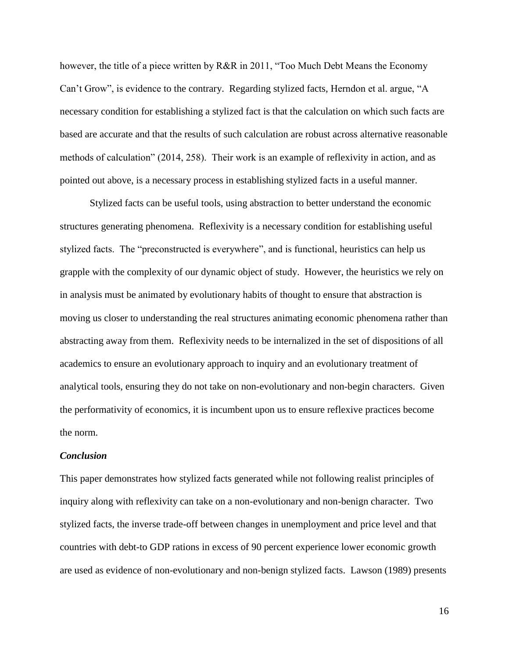however, the title of a piece written by R&R in 2011, "Too Much Debt Means the Economy Can't Grow", is evidence to the contrary. Regarding stylized facts, Herndon et al. argue, "A necessary condition for establishing a stylized fact is that the calculation on which such facts are based are accurate and that the results of such calculation are robust across alternative reasonable methods of calculation" (2014, 258). Their work is an example of reflexivity in action, and as pointed out above, is a necessary process in establishing stylized facts in a useful manner.

Stylized facts can be useful tools, using abstraction to better understand the economic structures generating phenomena. Reflexivity is a necessary condition for establishing useful stylized facts. The "preconstructed is everywhere", and is functional, heuristics can help us grapple with the complexity of our dynamic object of study. However, the heuristics we rely on in analysis must be animated by evolutionary habits of thought to ensure that abstraction is moving us closer to understanding the real structures animating economic phenomena rather than abstracting away from them. Reflexivity needs to be internalized in the set of dispositions of all academics to ensure an evolutionary approach to inquiry and an evolutionary treatment of analytical tools, ensuring they do not take on non-evolutionary and non-begin characters. Given the performativity of economics, it is incumbent upon us to ensure reflexive practices become the norm.

## *Conclusion*

This paper demonstrates how stylized facts generated while not following realist principles of inquiry along with reflexivity can take on a non-evolutionary and non-benign character. Two stylized facts, the inverse trade-off between changes in unemployment and price level and that countries with debt-to GDP rations in excess of 90 percent experience lower economic growth are used as evidence of non-evolutionary and non-benign stylized facts. Lawson (1989) presents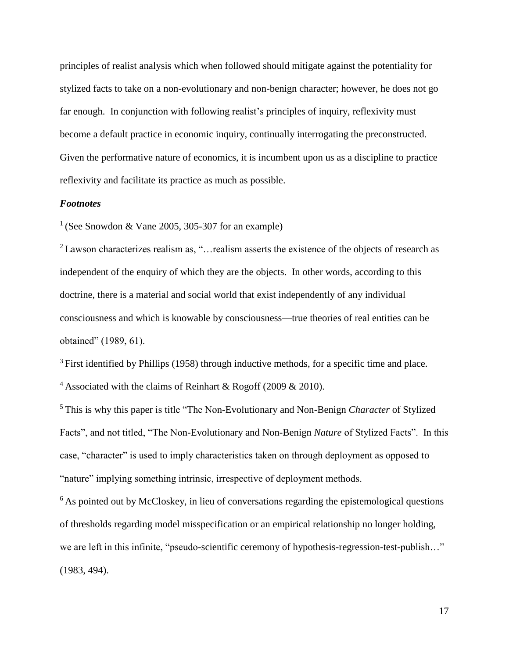principles of realist analysis which when followed should mitigate against the potentiality for stylized facts to take on a non-evolutionary and non-benign character; however, he does not go far enough. In conjunction with following realist's principles of inquiry, reflexivity must become a default practice in economic inquiry, continually interrogating the preconstructed. Given the performative nature of economics, it is incumbent upon us as a discipline to practice reflexivity and facilitate its practice as much as possible.

# *Footnotes*

<sup>1</sup> (See Snowdon & Vane 2005, 305-307 for an example)

<sup>2</sup>Lawson characterizes realism as, "…realism asserts the existence of the objects of research as independent of the enquiry of which they are the objects. In other words, according to this doctrine, there is a material and social world that exist independently of any individual consciousness and which is knowable by consciousness—true theories of real entities can be obtained" (1989, 61).

 $3$  First identified by Phillips (1958) through inductive methods, for a specific time and place.

<sup>4</sup> Associated with the claims of Reinhart & Rogoff (2009 & 2010).

<sup>5</sup>This is why this paper is title "The Non-Evolutionary and Non-Benign *Character* of Stylized Facts", and not titled, "The Non-Evolutionary and Non-Benign *Nature* of Stylized Facts". In this case, "character" is used to imply characteristics taken on through deployment as opposed to "nature" implying something intrinsic, irrespective of deployment methods.

 $6$ As pointed out by McCloskey, in lieu of conversations regarding the epistemological questions of thresholds regarding model misspecification or an empirical relationship no longer holding, we are left in this infinite, "pseudo-scientific ceremony of hypothesis-regression-test-publish…" (1983, 494).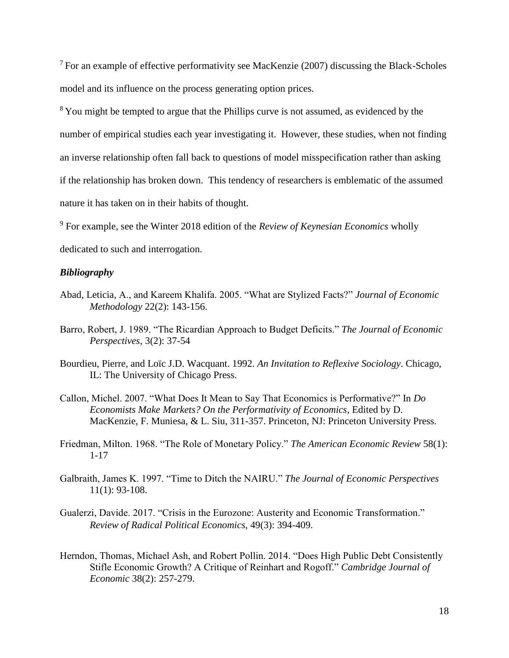$7$  For an example of effective performativity see MacKenzie (2007) discussing the Black-Scholes model and its influence on the process generating option prices.

<sup>8</sup>You might be tempted to argue that the Phillips curve is not assumed, as evidenced by the number of empirical studies each year investigating it. However, these studies, when not finding an inverse relationship often fall back to questions of model misspecification rather than asking if the relationship has broken down. This tendency of researchers is emblematic of the assumed nature it has taken on in their habits of thought.

<sup>9</sup> For example, see the Winter 2018 edition of the *Review of Keynesian Economics* wholly

dedicated to such and interrogation.

# *Bibliography*

- Abad, Leticia, A., and Kareem Khalifa. 2005. "What are Stylized Facts?" *Journal of Economic Methodology* 22(2): 143-156.
- Barro, Robert, J. 1989. "The Ricardian Approach to Budget Deficits." *The Journal of Economic Perspectives*, 3(2): 37-54
- Bourdieu, Pierre, and Loïc J.D. Wacquant. 1992. *An Invitation to Reflexive Sociology*. Chicago, IL: The University of Chicago Press.
- Callon, Michel. 2007. "What Does It Mean to Say That Economics is Performative?" In *Do Economists Make Markets? On the Performativity of Economics*, Edited by D. MacKenzie, F. Muniesa, & L. Siu, 311-357. Princeton, NJ: Princeton University Press.
- Friedman, Milton. 1968. "The Role of Monetary Policy." *The American Economic Review* 58(1): 1-17
- Galbraith, James K. 1997. "Time to Ditch the NAIRU." *The Journal of Economic Perspectives*  11(1): 93-108.
- Gualerzi, Davide. 2017. "Crisis in the Eurozone: Austerity and Economic Transformation." *Review of Radical Political Economics*, 49(3): 394-409.
- Herndon, Thomas, Michael Ash, and Robert Pollin. 2014. "Does High Public Debt Consistently Stifle Economic Growth? A Critique of Reinhart and Rogoff." *Cambridge Journal of Economic* 38(2): 257-279.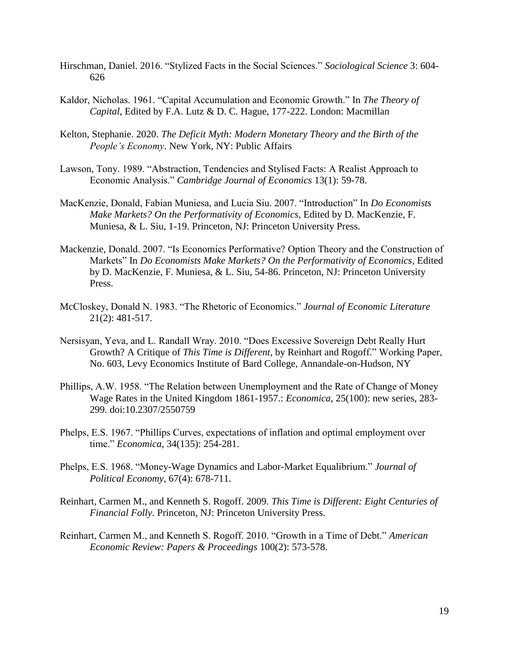- Hirschman, Daniel. 2016. "Stylized Facts in the Social Sciences." *Sociological Science* 3: 604- 626
- Kaldor, Nicholas. 1961. "Capital Accumulation and Economic Growth." In *The Theory of Capital*, Edited by F.A. Lutz & D. C. Hague, 177-222. London: Macmillan
- Kelton, Stephanie. 2020. *The Deficit Myth: Modern Monetary Theory and the Birth of the People's Economy*. New York, NY: Public Affairs
- Lawson, Tony. 1989. "Abstraction, Tendencies and Stylised Facts: A Realist Approach to Economic Analysis." *Cambridge Journal of Economics* 13(1): 59-78.
- MacKenzie, Donald, Fabian Muniesa, and Lucia Siu. 2007. "Introduction" In *Do Economists Make Markets? On the Performativity of Economics*, Edited by D. MacKenzie, F. Muniesa, & L. Siu, 1-19. Princeton, NJ: Princeton University Press.
- Mackenzie, Donald. 2007. "Is Economics Performative? Option Theory and the Construction of Markets" In *Do Economists Make Markets? On the Performativity of Economics*, Edited by D. MacKenzie, F. Muniesa, & L. Siu, 54-86. Princeton, NJ: Princeton University Press.
- McCloskey, Donald N. 1983. "The Rhetoric of Economics." *Journal of Economic Literature*  21(2): 481-517.
- Nersisyan, Yeva, and L. Randall Wray. 2010. "Does Excessive Sovereign Debt Really Hurt Growth? A Critique of *This Time is Different*, by Reinhart and Rogoff." Working Paper, No. 603, Levy Economics Institute of Bard College, Annandale-on-Hudson, NY
- Phillips, A.W. 1958. "The Relation between Unemployment and the Rate of Change of Money Wage Rates in the United Kingdom 1861-1957.: *Economica*, 25(100): new series, 283- 299. doi:10.2307/2550759
- Phelps, E.S. 1967. "Phillips Curves, expectations of inflation and optimal employment over time." *Economica*, 34(135): 254-281.
- Phelps, E.S. 1968. "Money-Wage Dynamics and Labor-Market Equalibrium." *Journal of Political Economy*, 67(4): 678-711.
- Reinhart, Carmen M., and Kenneth S. Rogoff. 2009. *This Time is Different: Eight Centuries of Financial Folly*. Princeton, NJ: Princeton University Press.
- Reinhart, Carmen M., and Kenneth S. Rogoff. 2010. "Growth in a Time of Debt." *American Economic Review: Papers & Proceedings* 100(2): 573-578.